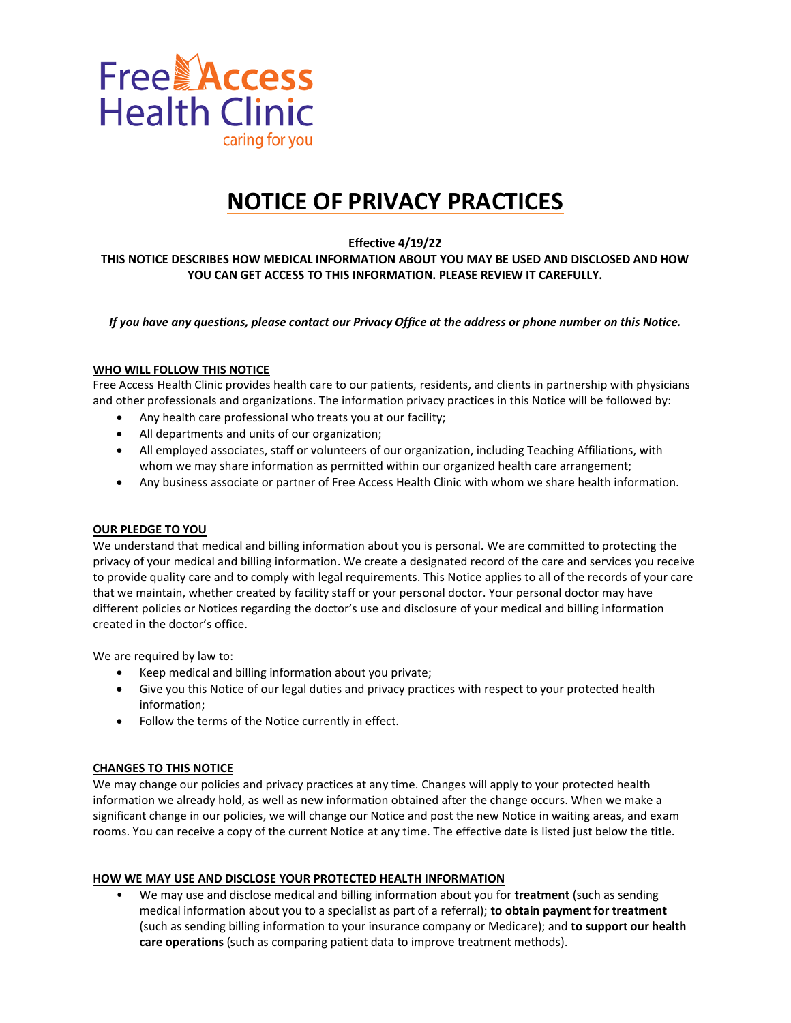

# **NOTICE OF PRIVACY PRACTICES**

**Effective 4/19/22**

**THIS NOTICE DESCRIBES HOW MEDICAL INFORMATION ABOUT YOU MAY BE USED AND DISCLOSED AND HOW YOU CAN GET ACCESS TO THIS INFORMATION. PLEASE REVIEW IT CAREFULLY.**

*If you have any questions, please contact our Privacy Office at the address or phone number on this Notice.*

#### **WHO WILL FOLLOW THIS NOTICE**

Free Access Health Clinic provides health care to our patients, residents, and clients in partnership with physicians and other professionals and organizations. The information privacy practices in this Notice will be followed by:

- Any health care professional who treats you at our facility;
- All departments and units of our organization;
- All employed associates, staff or volunteers of our organization, including Teaching Affiliations, with whom we may share information as permitted within our organized health care arrangement;
- Any business associate or partner of Free Access Health Clinic with whom we share health information.

#### **OUR PLEDGE TO YOU**

We understand that medical and billing information about you is personal. We are committed to protecting the privacy of your medical and billing information. We create a designated record of the care and services you receive to provide quality care and to comply with legal requirements. This Notice applies to all of the records of your care that we maintain, whether created by facility staff or your personal doctor. Your personal doctor may have different policies or Notices regarding the doctor's use and disclosure of your medical and billing information created in the doctor's office.

We are required by law to:

- Keep medical and billing information about you private;
- Give you this Notice of our legal duties and privacy practices with respect to your protected health information;
- Follow the terms of the Notice currently in effect.

#### **CHANGES TO THIS NOTICE**

We may change our policies and privacy practices at any time. Changes will apply to your protected health information we already hold, as well as new information obtained after the change occurs. When we make a significant change in our policies, we will change our Notice and post the new Notice in waiting areas, and exam rooms. You can receive a copy of the current Notice at any time. The effective date is listed just below the title.

#### **HOW WE MAY USE AND DISCLOSE YOUR PROTECTED HEALTH INFORMATION**

• We may use and disclose medical and billing information about you for **treatment** (such as sending medical information about you to a specialist as part of a referral); **to obtain payment for treatment**  (such as sending billing information to your insurance company or Medicare); and **to support our health care operations** (such as comparing patient data to improve treatment methods).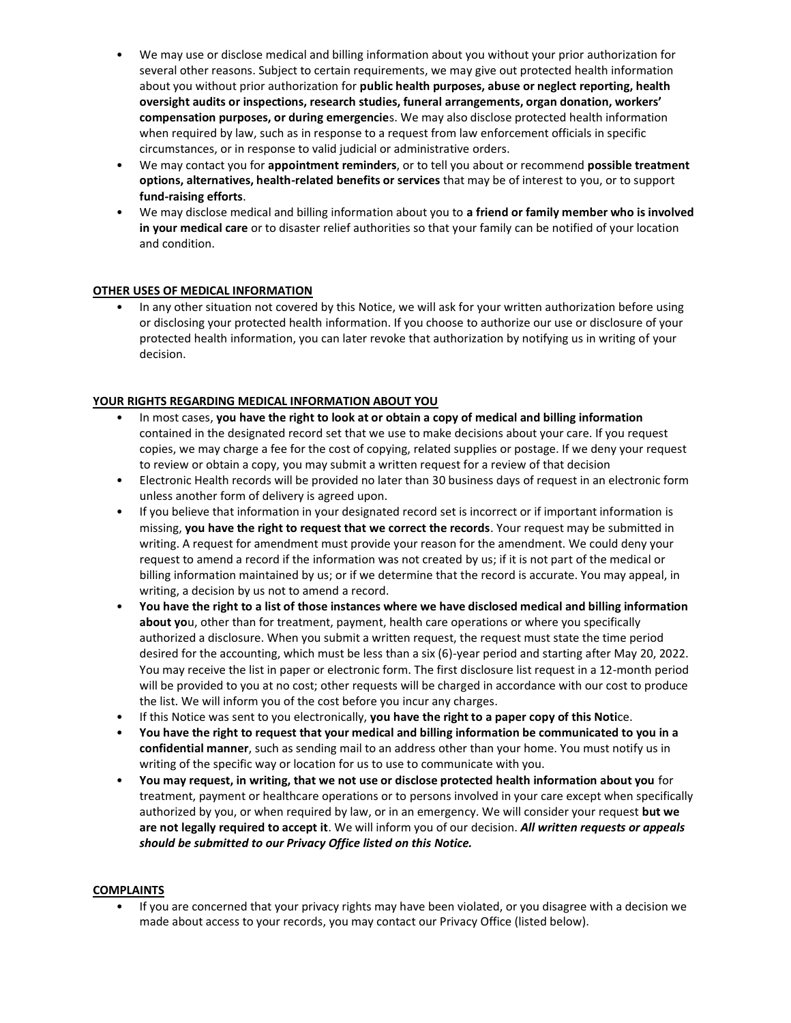- We may use or disclose medical and billing information about you without your prior authorization for several other reasons. Subject to certain requirements, we may give out protected health information about you without prior authorization for **public health purposes, abuse or neglect reporting, health oversight audits or inspections, research studies, funeral arrangements, organ donation, workers' compensation purposes, or during emergencie**s. We may also disclose protected health information when required by law, such as in response to a request from law enforcement officials in specific circumstances, or in response to valid judicial or administrative orders.
- We may contact you for **appointment reminders**, or to tell you about or recommend **possible treatment options, alternatives, health-related benefits or services** that may be of interest to you, or to support **fund-raising efforts**.
- We may disclose medical and billing information about you to **a friend or family member who is involved in your medical care** or to disaster relief authorities so that your family can be notified of your location and condition.

## **OTHER USES OF MEDICAL INFORMATION**

• In any other situation not covered by this Notice, we will ask for your written authorization before using or disclosing your protected health information. If you choose to authorize our use or disclosure of your protected health information, you can later revoke that authorization by notifying us in writing of your decision.

## **YOUR RIGHTS REGARDING MEDICAL INFORMATION ABOUT YOU**

- In most cases, **you have the right to look at or obtain a copy of medical and billing information**  contained in the designated record set that we use to make decisions about your care. If you request copies, we may charge a fee for the cost of copying, related supplies or postage. If we deny your request to review or obtain a copy, you may submit a written request for a review of that decision
- Electronic Health records will be provided no later than 30 business days of request in an electronic form unless another form of delivery is agreed upon.
- If you believe that information in your designated record set is incorrect or if important information is missing, **you have the right to request that we correct the records**. Your request may be submitted in writing. A request for amendment must provide your reason for the amendment. We could deny your request to amend a record if the information was not created by us; if it is not part of the medical or billing information maintained by us; or if we determine that the record is accurate. You may appeal, in writing, a decision by us not to amend a record.
- **You have the right to a list of those instances where we have disclosed medical and billing information about yo**u, other than for treatment, payment, health care operations or where you specifically authorized a disclosure. When you submit a written request, the request must state the time period desired for the accounting, which must be less than a six (6)-year period and starting after May 20, 2022. You may receive the list in paper or electronic form. The first disclosure list request in a 12-month period will be provided to you at no cost; other requests will be charged in accordance with our cost to produce the list. We will inform you of the cost before you incur any charges.
- If this Notice was sent to you electronically, **you have the right to a paper copy of this Noti**ce.
- **You have the right to request that your medical and billing information be communicated to you in a confidential manner**, such as sending mail to an address other than your home. You must notify us in writing of the specific way or location for us to use to communicate with you.
- **You may request, in writing, that we not use or disclose protected health information about you** for treatment, payment or healthcare operations or to persons involved in your care except when specifically authorized by you, or when required by law, or in an emergency. We will consider your request **but we are not legally required to accept it**. We will inform you of our decision. *All written requests or appeals should be submitted to our Privacy Office listed on this Notice.*

## **COMPLAINTS**

• If you are concerned that your privacy rights may have been violated, or you disagree with a decision we made about access to your records, you may contact our Privacy Office (listed below).